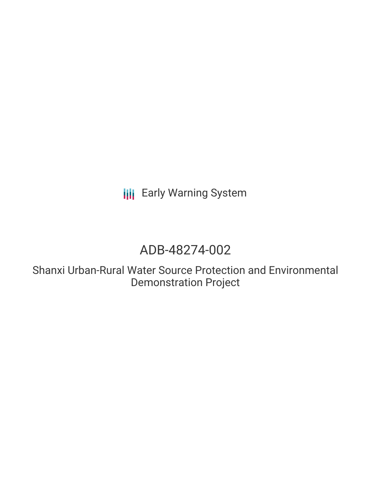**III** Early Warning System

# ADB-48274-002

Shanxi Urban-Rural Water Source Protection and Environmental Demonstration Project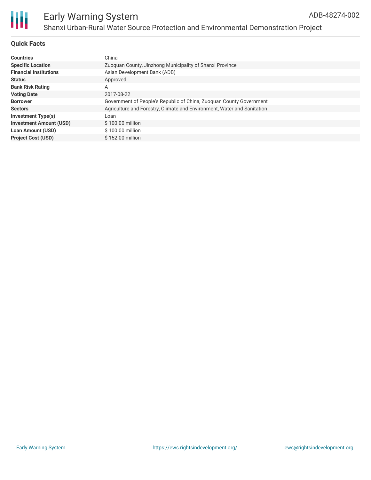

### **Quick Facts**

| <b>Countries</b>               | China                                                                   |
|--------------------------------|-------------------------------------------------------------------------|
| <b>Specific Location</b>       | Zuoguan County, Jinzhong Municipality of Shanxi Province                |
| <b>Financial Institutions</b>  | Asian Development Bank (ADB)                                            |
| <b>Status</b>                  | Approved                                                                |
| <b>Bank Risk Rating</b>        | Α                                                                       |
| <b>Voting Date</b>             | 2017-08-22                                                              |
| <b>Borrower</b>                | Government of People's Republic of China, Zuoguan County Government     |
| <b>Sectors</b>                 | Agriculture and Forestry, Climate and Environment, Water and Sanitation |
| <b>Investment Type(s)</b>      | Loan                                                                    |
| <b>Investment Amount (USD)</b> | $$100.00$ million                                                       |
| <b>Loan Amount (USD)</b>       | \$100.00 million                                                        |
| <b>Project Cost (USD)</b>      | \$152.00 million                                                        |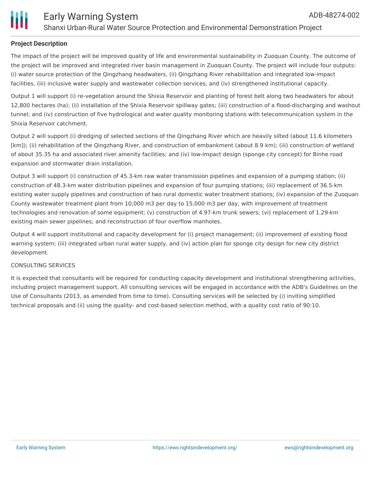



#### **Project Description**

The impact of the project will be improved quality of life and environmental sustainability in Zuoquan County. The outcome of the project will be improved and integrated river basin management in Zuoquan County. The project will include four outputs: (i) water source protection of the Qingzhang headwaters, (ii) Qingzhang River rehabilitation and integrated low-impact facilities, (iii) inclusive water supply and wastewater collection services, and (iv) strengthened institutional capacity.

Output 1 will support (i) re-vegetation around the Shixia Reservoir and planting of forest belt along two headwaters for about 12,800 hectares (ha); (ii) installation of the Shixia Reservoir spillway gates; (iii) construction of a flood-discharging and washout tunnel; and (iv) construction of five hydrological and water quality monitoring stations with telecommunication system in the Shixia Reservoir catchment.

Output 2 will support (i) dredging of selected sections of the Qingzhang River which are heavily silted (about 11.6 kilometers [km]); (ii) rehabilitation of the Qingzhang River, and construction of embankment (about 8.9 km); (iii) construction of wetland of about 35.35 ha and associated river amenity facilities; and (iv) low-impact design (sponge city concept) for Binhe road expansion and stormwater drain installation.

Output 3 will support (i) construction of 45.3-km raw water transmission pipelines and expansion of a pumping station; (ii) construction of 48.3-km water distribution pipelines and expansion of four pumping stations; (iii) replacement of 36.5-km existing water supply pipelines and construction of two rural domestic water treatment stations; (iv) expansion of the Zuoquan County wastewater treatment plant from 10,000 m3 per day to 15,000 m3 per day, with improvement of treatment technologies and renovation of some equipment; (v) construction of 4.97-km trunk sewers; (vi) replacement of 1.29-km existing main sewer pipelines; and reconstruction of four overflow manholes.

Output 4 will support institutional and capacity development for (i) project management; (ii) improvement of existing flood warning system; (iii) integrated urban rural water supply, and (iv) action plan for sponge city design for new city district development.

#### CONSULTING SERVICES

It is expected that consultants will be required for conducting capacity development and institutional strengthening activities, including project management support. All consulting services will be engaged in accordance with the ADB's Guidelines on the Use of Consultants (2013, as amended from time to time). Consulting services will be selected by (i) inviting simplified technical proposals and (ii) using the quality- and cost-based selection method, with a quality cost ratio of 90:10.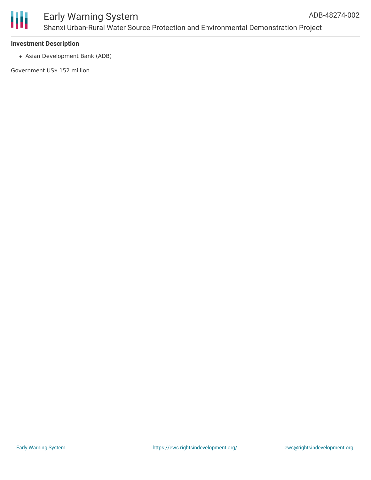



#### **Investment Description**

Asian Development Bank (ADB)

Government US\$ 152 million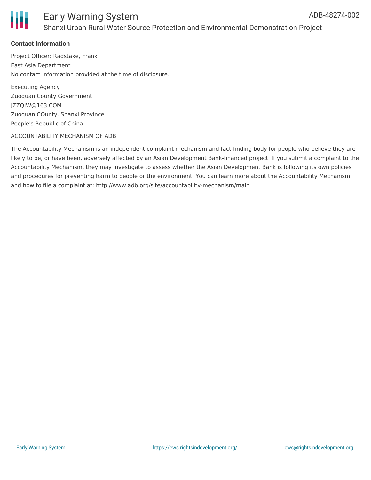

### **Contact Information**

Project Officer: Radstake, Frank East Asia Department No contact information provided at the time of disclosure.

Executing Agency Zuoquan County Government JZZQJW@163.COM Zuoquan COunty, Shanxi Province People's Republic of China

#### ACCOUNTABILITY MECHANISM OF ADB

The Accountability Mechanism is an independent complaint mechanism and fact-finding body for people who believe they are likely to be, or have been, adversely affected by an Asian Development Bank-financed project. If you submit a complaint to the Accountability Mechanism, they may investigate to assess whether the Asian Development Bank is following its own policies and procedures for preventing harm to people or the environment. You can learn more about the Accountability Mechanism and how to file a complaint at: http://www.adb.org/site/accountability-mechanism/main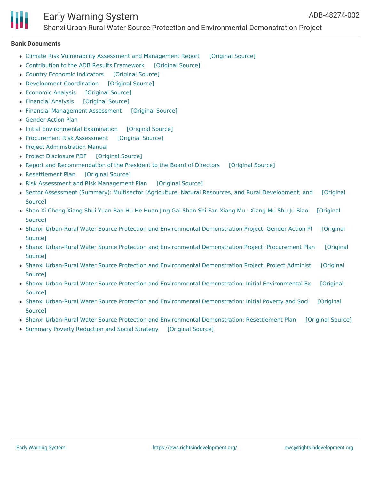## Early Warning System

Shanxi Urban-Rural Water Source Protection and Environmental Demonstration Project

#### **Bank Documents**

- Climate Risk Vulnerability Assessment and [Management](https://ewsdata.rightsindevelopment.org/files/documents/02/ADB-48274-002_hIUNYCK.pdf) Report [\[Original](https://www.adb.org/projects/documents/prc-48274-002-rrp) Source]
- [Contribution](https://ewsdata.rightsindevelopment.org/files/documents/02/ADB-48274-002_GpuEBYZ.pdf) to the ADB Results Framework [\[Original](https://www.adb.org/projects/documents/prc-48274-002-rrp) Source]
- Country Economic [Indicators](https://ewsdata.rightsindevelopment.org/files/documents/02/ADB-48274-002_o4Hgq9u.pdf) [\[Original](https://www.adb.org/projects/documents/prc-48274-002-rrp) Source]
- [Development](https://ewsdata.rightsindevelopment.org/files/documents/02/ADB-48274-002_TrJJ4mc.pdf) Coordination [\[Original](https://www.adb.org/projects/documents/prc-48274-002-rrp) Source]
- [Economic](https://ewsdata.rightsindevelopment.org/files/documents/02/ADB-48274-002_SGkzS03.pdf) Analysis [\[Original](https://www.adb.org/projects/documents/prc-48274-002-rrp) Source]
- [Financial](https://ewsdata.rightsindevelopment.org/files/documents/02/ADB-48274-002_HNuHoXe.pdf) Analysis [\[Original](https://www.adb.org/projects/documents/prc-48274-002-rrp) Source]
- Financial [Management](https://ewsdata.rightsindevelopment.org/files/documents/02/ADB-48274-002_MgIGK7y.pdf) Assessment [\[Original](https://www.adb.org/projects/documents/prc-48274-002-rrp) Source]
- [Gender](https://www.adb.org/projects/documents/prc-48274-002-rrp) Action Plan
- Initial [Environmental](https://ewsdata.rightsindevelopment.org/files/documents/02/ADB-48274-002_9iRqtEW.pdf) Examination [\[Original](https://www.adb.org/projects/documents/prc-48274-002-rrp) Source]
- [Procurement](https://ewsdata.rightsindevelopment.org/files/documents/02/ADB-48274-002_KUrLQnl.pdf) Risk Assessment [\[Original](https://www.adb.org/projects/documents/prc-48274-002-rrp) Source]
- Project [Administration](https://www.adb.org/projects/documents/prc-48274-002-rrp) Manual
- Project [Disclosure](https://ewsdata.rightsindevelopment.org/files/documents/02/ADB-48274-002.pdf) PDF [\[Original](https://www.adb.org/printpdf/projects/48274-002/main) Source]
- Report and [Recommendation](https://ewsdata.rightsindevelopment.org/files/documents/02/ADB-48274-002_8Wgj1Jf.pdf) of the President to the Board of Directors [\[Original](https://www.adb.org/sites/default/files/project-documents/48274/48274-002-rrp-en.pdf) Source]
- [Resettlement](https://ewsdata.rightsindevelopment.org/files/documents/02/ADB-48274-002_L0n1tap.pdf) Plan [\[Original](https://www.adb.org/projects/documents/prc-48274-002-rrp) Source]
- Risk Assessment and Risk [Management](https://ewsdata.rightsindevelopment.org/files/documents/02/ADB-48274-002_GNwFse7.pdf) Plan [\[Original](https://www.adb.org/projects/documents/prc-48274-002-rrp) Source]
- Sector Assessment (Summary): Multisector (Agriculture, Natural Resources, and Rural [Development;](https://www.adb.org/projects/documents/prc-48274-002-rrp) and [Original Source]
- Shan Xi [Cheng](https://ewsdata.rightsindevelopment.org/files/documents/02/ADB-48274-002_VuuMWb1.pdf) Xiang Shui Yuan Bao Hu He Huan Jing Gai Shan Shi Fan Xiang Mu : Xiang Mu Shu Ju Biao [\[Original](https://www.adb.org/zh/projects/documents/48274-002-project-data-sheet) Source]
- Shanxi Urban-Rural Water Source Protection and Environmental [Demonstration](https://www.adb.org/projects/documents/prc-48274-002-gap) Project: Gender Action Pl [Original Source]
- Shanxi Urban-Rural Water Source Protection and Environmental [Demonstration](https://www.adb.org/projects/documents/prc-48274-002-pp) Project: Procurement Plan [Original Source]
- Shanxi Urban-Rural Water Source Protection and Environmental [Demonstration](https://www.adb.org/projects/documents/prc-48274-002-pam) Project: Project Administ [Original Source]
- Shanxi Urban-Rural Water Source Protection and Environmental [Demonstration:](https://www.adb.org/projects/documents/prc-shanxi-urban-rural-water-source-protection-and-environmental-demo-nov-2016-iee) Initial Environmental Ex [Original Source]
- Shanxi Urban-Rural Water Source Protection and Environmental [Demonstration:](https://www.adb.org/projects/documents/prc-shanxi-urban-rural-water-source-protection-and-environmental-demonstration-ipsa) Initial Poverty and Soci [Original **Source1**
- Shanxi Urban-Rural Water Source Protection and Environmental [Demonstration:](https://ewsdata.rightsindevelopment.org/files/documents/02/ADB-48274-002_FMmCNtm.pdf) Resettlement Plan [\[Original](https://www.adb.org/projects/documents/prc-shanxi-urban-rural-water-source-protection-and-environmental-demo-nov-2016-rp) Source]
- Summary Poverty [Reduction](https://ewsdata.rightsindevelopment.org/files/documents/02/ADB-48274-002_WykpVVj.pdf) and Social Strategy [\[Original](https://www.adb.org/projects/documents/prc-48274-002-rrp) Source]